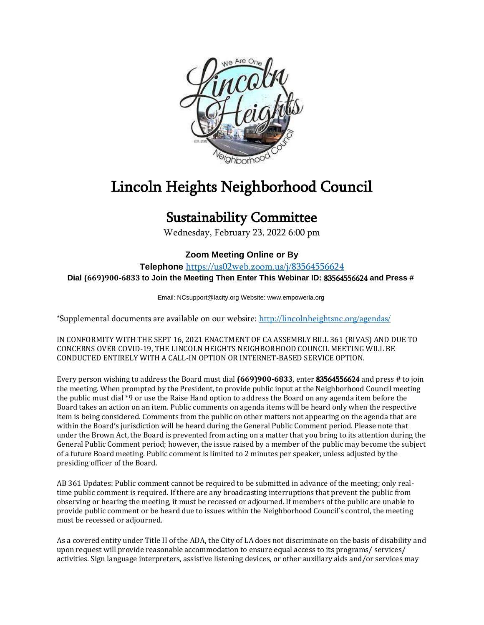

## Lincoln Heights Neighborhood Council

## Sustainability Committee

Wednesday, February 23, 2022 6:00 pm

## **Zoom Meeting Online or By**

**Telephone** <https://us02web.zoom.us/j/83564556624> **Dial (669)900-6833 to Join the Meeting Then Enter This Webinar ID:** 83564556624 **and Press #**

Email: NCsupport@lacity.org Website: www.empowerla.org

\*Supplemental documents are available on our website:<http://lincolnheightsnc.org/agendas/>

IN CONFORMITY WITH THE SEPT 16, 2021 ENACTMENT OF CA ASSEMBLY BILL 361 (RIVAS) AND DUE TO CONCERNS OVER COVID-19, THE LINCOLN HEIGHTS NEIGHBORHOOD COUNCIL MEETING WILL BE CONDUCTED ENTIRELY WITH A CALL-IN OPTION OR INTERNET-BASED SERVICE OPTION.

Every person wishing to address the Board must dial **(669)900-6833**, enter 83564556624 and press # to join the meeting. When prompted by the President, to provide public input at the Neighborhood Council meeting the public must dial \*9 or use the Raise Hand option to address the Board on any agenda item before the Board takes an action on an item. Public comments on agenda items will be heard only when the respective item is being considered. Comments from the public on other matters not appearing on the agenda that are within the Board's jurisdiction will be heard during the General Public Comment period. Please note that under the Brown Act, the Board is prevented from acting on a matter that you bring to its attention during the General Public Comment period; however, the issue raised by a member of the public may become the subject of a future Board meeting. Public comment is limited to 2 minutes per speaker, unless adjusted by the presiding officer of the Board.

AB 361 Updates: Public comment cannot be required to be submitted in advance of the meeting; only realtime public comment is required. If there are any broadcasting interruptions that prevent the public from observing or hearing the meeting, it must be recessed or adjourned. If members of the public are unable to provide public comment or be heard due to issues within the Neighborhood Council's control, the meeting must be recessed or adjourned.

As a covered entity under Title II of the ADA, the City of LA does not discriminate on the basis of disability and upon request will provide reasonable accommodation to ensure equal access to its programs/ services/ activities. Sign language interpreters, assistive listening devices, or other auxiliary aids and/or services may